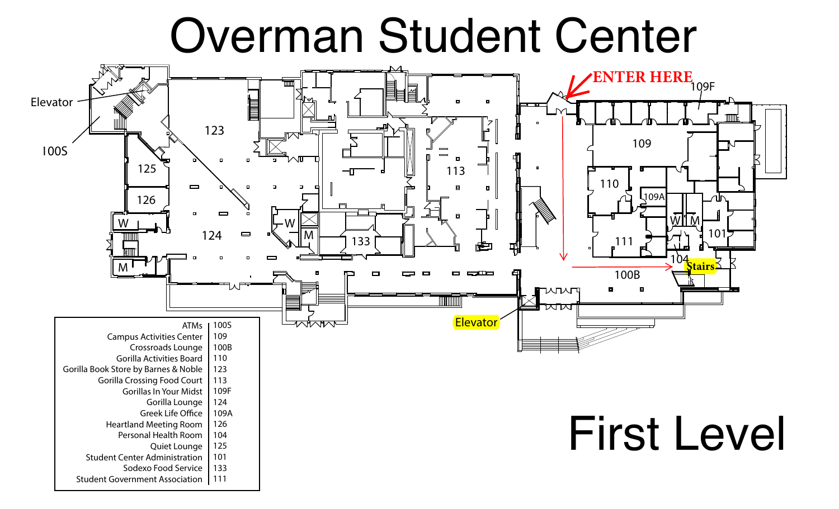## Overman Student Center

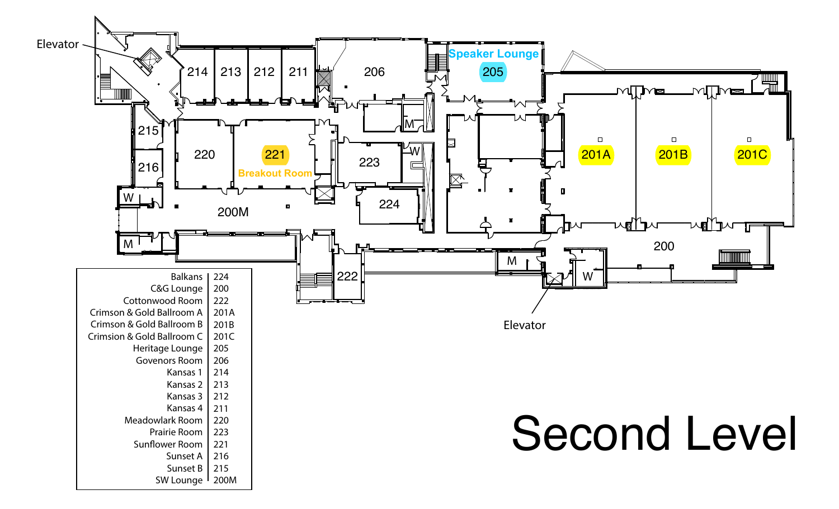